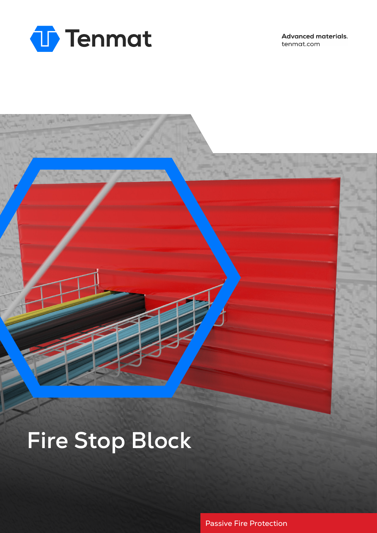

**Advanced materials.** tenmat.com

# **Fire Stop Block**

Passive Fire Protection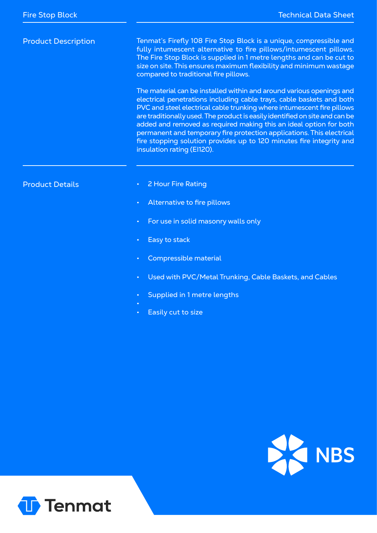# Product Description

Tenmat's Firefly 108 Fire Stop Block is a unique, compressible and fully intumescent alternative to fire pillows/intumescent pillows. The Fire Stop Block is supplied in 1 metre lengths and can be cut to size on site. This ensures maximum flexibility and minimum wastage compared to traditional fire pillows.

The material can be installed within and around various openings and electrical penetrations including cable trays, cable baskets and both PVC and steel electrical cable trunking where intumescent fire pillows are traditionally used. The product is easily identified on site and can be added and removed as required making this an ideal option for both permanent and temporary fire protection applications. This electrical fire stopping solution provides up to 120 minutes fire integrity and insulation rating (EI120).

### Product Details

- 2 Hour Fire Rating
- Alternative to fire pillows
- For use in solid masonry walls only
- Easy to stack
- Compressible material
- Used with PVC/Metal Trunking, Cable Baskets, and Cables
- Supplied in 1 metre lengths
- 
- Easily cut to size



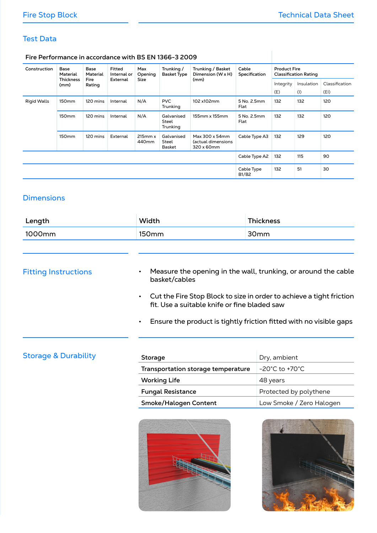# Test Data

#### **Fire Performance in accordance with BS EN 1366-3 2009**

| Construction       | Base<br>Material<br><b>Thickness</b><br>(mm) | <b>Base</b><br>Material<br>Fire<br>Rating | Fitted<br>Internal or<br>External | Max<br>Opening<br><b>Size</b>     | Trunking /<br><b>Basket Type</b>       | Trunking / Basket<br>Dimension (W x H)<br>(mm)     | Cable<br>Specification     | <b>Product Fire</b><br><b>Classification Rating</b> |            |                |
|--------------------|----------------------------------------------|-------------------------------------------|-----------------------------------|-----------------------------------|----------------------------------------|----------------------------------------------------|----------------------------|-----------------------------------------------------|------------|----------------|
|                    |                                              |                                           |                                   |                                   |                                        |                                                    |                            | Integrity                                           | Insulation | Classification |
|                    |                                              |                                           |                                   |                                   |                                        |                                                    |                            | (E)                                                 | (1)        | (EI)           |
| <b>Rigid Walls</b> | 150 <sub>mm</sub>                            | 120 mins                                  | Internal                          | N/A                               | <b>PVC</b><br>Trunking                 | 102 x102mm                                         | 5 No. 2.5mm<br>Flat        | 132                                                 | 132        | 120            |
|                    | 150 <sub>mm</sub>                            | 120 mins                                  | Internal                          | N/A                               | Galvanised<br><b>Steel</b><br>Trunking | 155mm x 155mm                                      | 5 No. 2.5mm<br>Flat        | 132                                                 | 132        | 120            |
|                    | 150 <sub>mm</sub>                            | 120 mins                                  | External                          | $215$ mm $x$<br>440 <sub>mm</sub> | Galvanised<br><b>Steel</b><br>Basket   | Max 300 x 54mm<br>(actual dimensions<br>320 x 60mm | Cable Type A3              | 132                                                 | 129        | 120            |
|                    |                                              |                                           |                                   |                                   |                                        |                                                    | Cable Type A2              | 132                                                 | 115        | 90             |
|                    |                                              |                                           |                                   |                                   |                                        |                                                    | Cable Type<br><b>B1/B2</b> | 132                                                 | 51         | 30             |

# **Dimensions**

| Length | Width             | <b>Thickness</b> |
|--------|-------------------|------------------|
| 1000mm | 150 <sub>mm</sub> | 30 <sub>mm</sub> |
|        |                   |                  |

# Fitting Instructions

- Measure the opening in the wall, trunking, or around the cable basket/cables
- Cut the Fire Stop Block to size in order to achieve a tight friction fit. Use a suitable knife or fine bladed saw
- Ensure the product is tightly friction fitted with no visible gaps

# **Storage & Durability**

| Storage                            | Dry, ambient                        |
|------------------------------------|-------------------------------------|
| Transportation storage temperature | $-20^{\circ}$ C to +70 $^{\circ}$ C |
| <b>Working Life</b>                | 48 years                            |
| <b>Fungal Resistance</b>           | Protected by polythene              |
| Smoke/Halogen Content              | Low Smoke / Zero Halogen            |